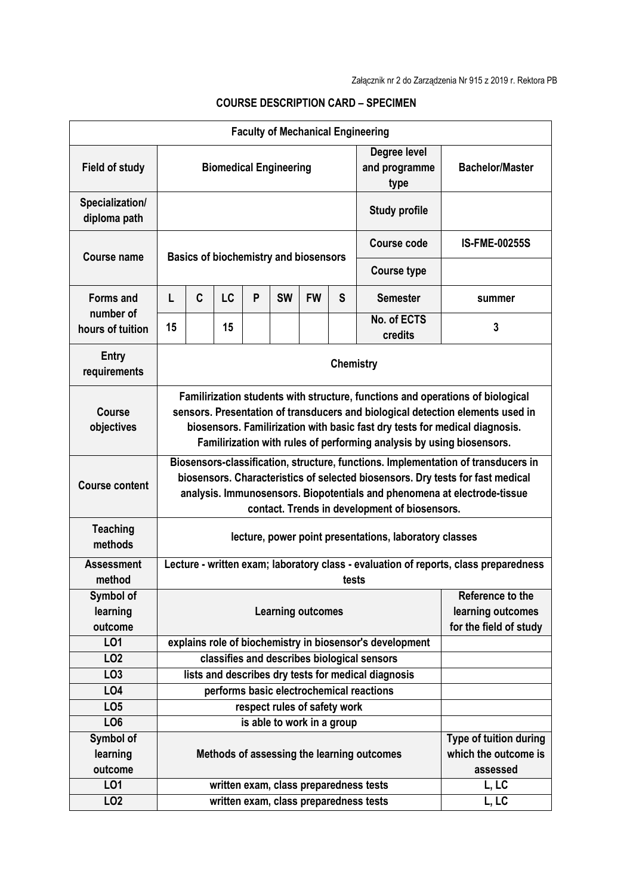| <b>Faculty of Mechanical Engineering</b> |                                                                                                                                                                                                                                                                                                                          |   |    |   |           |                            |                                                            |                                                          |                      |  |  |
|------------------------------------------|--------------------------------------------------------------------------------------------------------------------------------------------------------------------------------------------------------------------------------------------------------------------------------------------------------------------------|---|----|---|-----------|----------------------------|------------------------------------------------------------|----------------------------------------------------------|----------------------|--|--|
| <b>Field of study</b>                    | Degree level<br>and programme<br><b>Biomedical Engineering</b><br>type                                                                                                                                                                                                                                                   |   |    |   |           |                            |                                                            | <b>Bachelor/Master</b>                                   |                      |  |  |
| Specialization/<br>diploma path          |                                                                                                                                                                                                                                                                                                                          |   |    |   |           |                            |                                                            | <b>Study profile</b>                                     |                      |  |  |
| Course name                              | <b>Basics of biochemistry and biosensors</b>                                                                                                                                                                                                                                                                             |   |    |   |           |                            |                                                            | <b>Course code</b>                                       | <b>IS-FME-00255S</b> |  |  |
|                                          |                                                                                                                                                                                                                                                                                                                          |   |    |   |           |                            |                                                            | <b>Course type</b>                                       |                      |  |  |
| <b>Forms and</b><br>number of            | L                                                                                                                                                                                                                                                                                                                        | C | LC | P | <b>SW</b> | <b>FW</b>                  | S                                                          | <b>Semester</b>                                          | summer               |  |  |
| hours of tuition                         | 15                                                                                                                                                                                                                                                                                                                       |   | 15 |   |           |                            |                                                            | No. of ECTS<br>credits                                   | 3                    |  |  |
| Entry<br>requirements                    | <b>Chemistry</b>                                                                                                                                                                                                                                                                                                         |   |    |   |           |                            |                                                            |                                                          |                      |  |  |
| <b>Course</b><br>objectives              | Familirization students with structure, functions and operations of biological<br>sensors. Presentation of transducers and biological detection elements used in<br>biosensors. Familirization with basic fast dry tests for medical diagnosis.<br>Familirization with rules of performing analysis by using biosensors. |   |    |   |           |                            |                                                            |                                                          |                      |  |  |
| <b>Course content</b>                    | Biosensors-classification, structure, functions. Implementation of transducers in<br>biosensors. Characteristics of selected biosensors. Dry tests for fast medical<br>analysis. Immunosensors. Biopotentials and phenomena at electrode-tissue<br>contact. Trends in development of biosensors.                         |   |    |   |           |                            |                                                            |                                                          |                      |  |  |
| <b>Teaching</b><br>methods               | lecture, power point presentations, laboratory classes                                                                                                                                                                                                                                                                   |   |    |   |           |                            |                                                            |                                                          |                      |  |  |
| <b>Assessment</b><br>method              | Lecture - written exam; laboratory class - evaluation of reports, class preparedness<br>tests                                                                                                                                                                                                                            |   |    |   |           |                            |                                                            |                                                          |                      |  |  |
| <b>Symbol of</b><br>learning<br>outcome  | Reference to the<br><b>Learning outcomes</b>                                                                                                                                                                                                                                                                             |   |    |   |           |                            |                                                            | learning outcomes<br>for the field of study              |                      |  |  |
| L <sub>01</sub>                          |                                                                                                                                                                                                                                                                                                                          |   |    |   |           |                            |                                                            | explains role of biochemistry in biosensor's development |                      |  |  |
| LO <sub>2</sub>                          |                                                                                                                                                                                                                                                                                                                          |   |    |   |           |                            |                                                            | classifies and describes biological sensors              |                      |  |  |
| LO <sub>3</sub>                          |                                                                                                                                                                                                                                                                                                                          |   |    |   |           |                            |                                                            | lists and describes dry tests for medical diagnosis      |                      |  |  |
| LO4                                      |                                                                                                                                                                                                                                                                                                                          |   |    |   |           |                            |                                                            | performs basic electrochemical reactions                 |                      |  |  |
| LO <sub>5</sub>                          | respect rules of safety work                                                                                                                                                                                                                                                                                             |   |    |   |           |                            |                                                            |                                                          |                      |  |  |
| LO <sub>6</sub>                          |                                                                                                                                                                                                                                                                                                                          |   |    |   |           | is able to work in a group |                                                            |                                                          |                      |  |  |
| Symbol of<br>learning<br>outcome         | Methods of assessing the learning outcomes                                                                                                                                                                                                                                                                               |   |    |   |           |                            | Type of tuition during<br>which the outcome is<br>assessed |                                                          |                      |  |  |
| LO1                                      |                                                                                                                                                                                                                                                                                                                          |   |    |   |           |                            |                                                            | written exam, class preparedness tests                   | L, LC                |  |  |
| LO <sub>2</sub>                          |                                                                                                                                                                                                                                                                                                                          |   |    |   |           |                            |                                                            | written exam, class preparedness tests                   | L, LC                |  |  |

## **COURSE DESCRIPTION CARD – SPECIMEN**